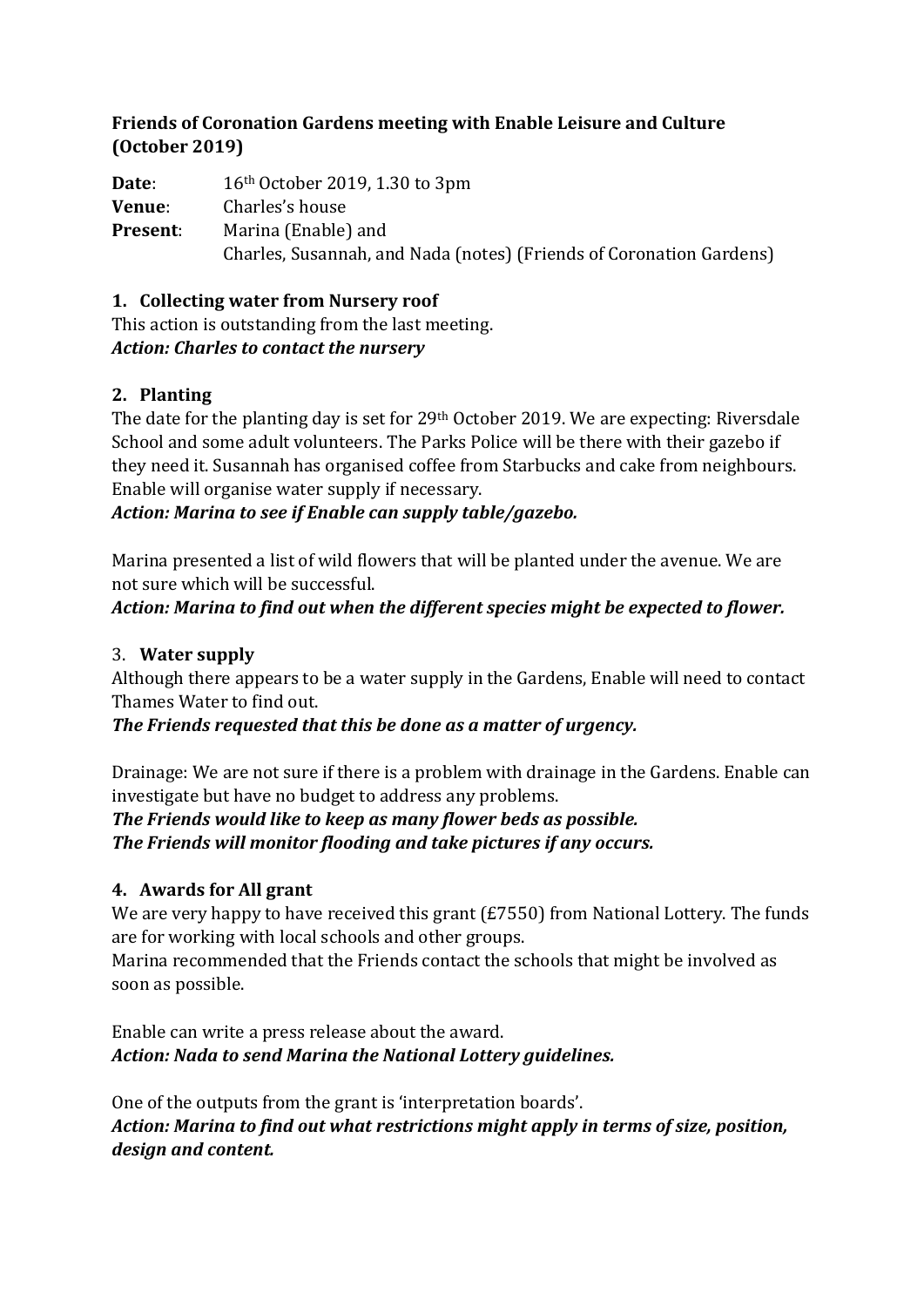#### **Friends of Coronation Gardens meeting with Enable Leisure and Culture (October 2019)**

**Date**: 16th October 2019, 1.30 to 3pm **Venue**: Charles's house **Present**: Marina (Enable) and Charles, Susannah, and Nada (notes) (Friends of Coronation Gardens)

**1. Collecting water from Nursery roof**

This action is outstanding from the last meeting. *Action: Charles to contact the nursery*

## **2. Planting**

The date for the planting day is set for 29<sup>th</sup> October 2019. We are expecting: Riversdale School and some adult volunteers. The Parks Police will be there with their gazebo if they need it. Susannah has organised coffee from Starbucks and cake from neighbours. Enable will organise water supply if necessary.

*Action: Marina to see if Enable can supply table/gazebo.*

Marina presented a list of wild flowers that will be planted under the avenue. We are not sure which will be successful.

*Action: Marina to find out when the different species might be expected to flower.*

## 3. **Water supply**

Although there appears to be a water supply in the Gardens, Enable will need to contact Thames Water to find out.

*The Friends requested that this be done as a matter of urgency.*

Drainage: We are not sure if there is a problem with drainage in the Gardens. Enable can investigate but have no budget to address any problems.

*The Friends would like to keep as many flower beds as possible. The Friends will monitor flooding and take pictures if any occurs.* 

#### **4. Awards for All grant**

We are very happy to have received this grant (£7550) from National Lottery. The funds are for working with local schools and other groups.

Marina recommended that the Friends contact the schools that might be involved as soon as possible.

Enable can write a press release about the award. *Action: Nada to send Marina the National Lottery guidelines.*

One of the outputs from the grant is 'interpretation boards'. *Action: Marina to find out what restrictions might apply in terms of size, position, design and content.*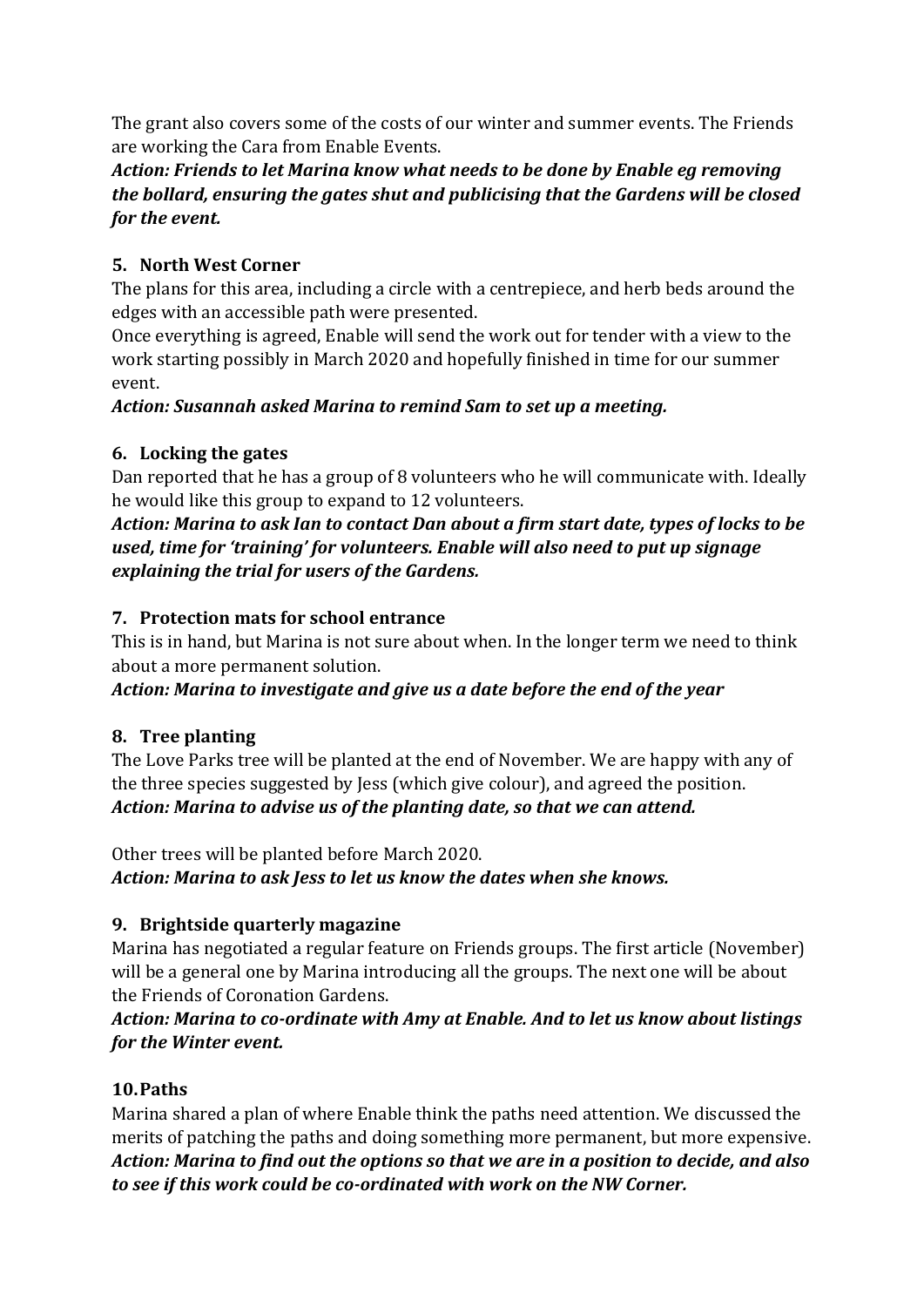The grant also covers some of the costs of our winter and summer events. The Friends are working the Cara from Enable Events.

## *Action: Friends to let Marina know what needs to be done by Enable eg removing the bollard, ensuring the gates shut and publicising that the Gardens will be closed for the event.*

## **5. North West Corner**

The plans for this area, including a circle with a centrepiece, and herb beds around the edges with an accessible path were presented.

Once everything is agreed, Enable will send the work out for tender with a view to the work starting possibly in March 2020 and hopefully finished in time for our summer event.

*Action: Susannah asked Marina to remind Sam to set up a meeting.*

#### **6. Locking the gates**

Dan reported that he has a group of 8 volunteers who he will communicate with. Ideally he would like this group to expand to 12 volunteers.

*Action: Marina to ask Ian to contact Dan about a firm start date, types of locks to be used, time for 'training' for volunteers. Enable will also need to put up signage explaining the trial for users of the Gardens.*

#### **7. Protection mats for school entrance**

This is in hand, but Marina is not sure about when. In the longer term we need to think about a more permanent solution.

*Action: Marina to investigate and give us a date before the end of the year*

# **8. Tree planting**

The Love Parks tree will be planted at the end of November. We are happy with any of the three species suggested by Jess (which give colour), and agreed the position. *Action: Marina to advise us of the planting date, so that we can attend.*

Other trees will be planted before March 2020. *Action: Marina to ask Jess to let us know the dates when she knows.*

#### **9. Brightside quarterly magazine**

Marina has negotiated a regular feature on Friends groups. The first article (November) will be a general one by Marina introducing all the groups. The next one will be about the Friends of Coronation Gardens.

*Action: Marina to co-ordinate with Amy at Enable. And to let us know about listings for the Winter event.* 

#### **10.Paths**

Marina shared a plan of where Enable think the paths need attention. We discussed the merits of patching the paths and doing something more permanent, but more expensive. *Action: Marina to find out the options so that we are in a position to decide, and also to see if this work could be co-ordinated with work on the NW Corner.*